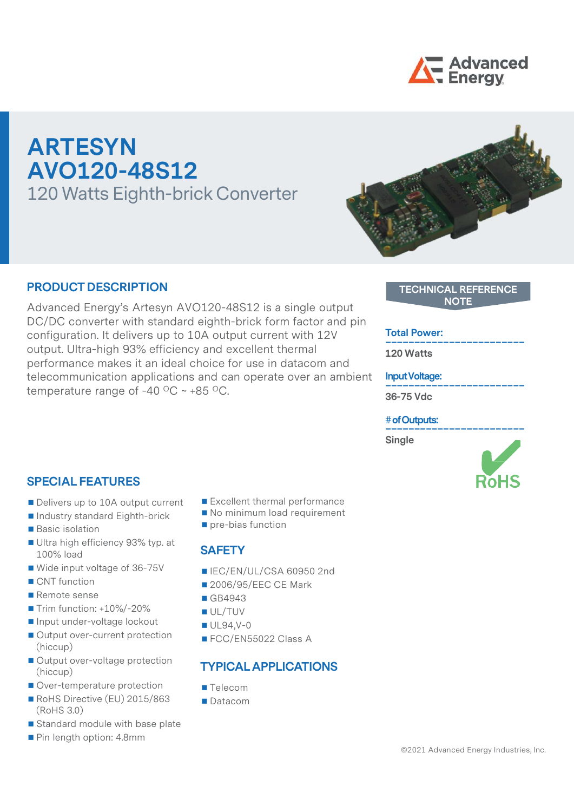

# ARTESYN AVO120-48S12 120 Watts Eighth-brick Converter

#### PRODUCT DESCRIPTION

PRODUCT DESCRIPTION<br>
Advanced Energy's Artesyn AVO120-48S12 is a single output<br>
DC/DC converter with standard eighth-brick form factor and pin<br>
configuration. It delivers up to 10A output current with 12V DC/DC converter with standard eighth-brick form factor and pin<br>configuration It delivers up to 10A output current with 12V **Total Power:** configuration. It delivers up to 10A output current with 12V output. Ultra-high 93% efficiency and excellent thermal performance makes it an ideal choice for use in datacom and telecommunication applications and can operate over an ambient temperature range of -40  $\mathrm{^{\circ}C}$  ~ +85  $\mathrm{^{\circ}C}$ .

#### SPECIAL FEATURES

- Delivers up to 10A output current
- Industry standard Eighth-brick
- **Basic isolation**
- Ultra high efficiency 93% typ. at 100% load
- Wide input voltage of 36-75V
- 
- Remote sense
- $\blacksquare$  Trim function:  $+10\%$ /-20%
- Input under-voltage lockout
- Output over-current protection (hiccup)
- Output over-voltage protection (hiccup)
- Over-temperature protection
- RoHS Directive (EU) 2015/863 (RoHS 3.0)
- Standard module with base plate
- Pin length option: 4.8mm
- Excellent thermal performance
- No minimum load requirement
- pre-bias function

#### **SAFETY**

- ■IEC/EN/UL/CSA 60950 2nd
- CNT function 2006/95/EEC CE Mark
	- GB4943
	- UL/TUV
	- UL94,V-0
	- FCC/EN55022 Class A

#### TYPICAL APPLICATIONS

- **Telecom**
- Datacom

# TECHNICAL REFERENCE<br>NOTE<br>Total Power:<br>120 Watts<br>Input Voltage:

#### TECHNICAL REFERENCE NOTE

120 Watts

Input Voltage: \_\_\_\_\_\_\_\_\_\_\_\_\_\_\_\_\_\_\_\_\_\_\_\_

36-75 Vdc

#### # of Outputs: \_\_\_\_\_\_\_\_\_\_\_\_\_\_\_\_\_\_\_\_\_\_\_\_

Single

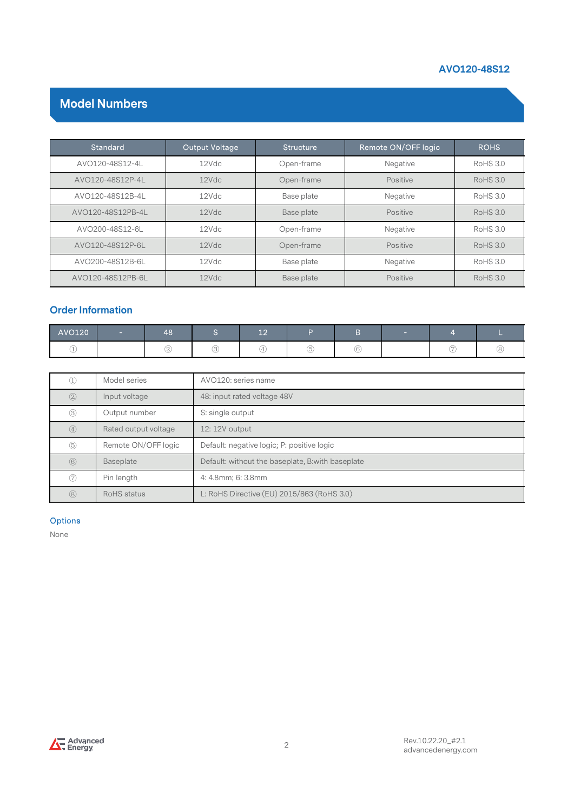#### AVO120-48S12

#### Model Numbers

|                          |                      |    |                       |                                                |                  |              |                     |                | AVO120-48S12    |
|--------------------------|----------------------|----|-----------------------|------------------------------------------------|------------------|--------------|---------------------|----------------|-----------------|
|                          | <b>Model Numbers</b> |    |                       |                                                |                  |              |                     |                |                 |
|                          | <b>Standard</b>      |    | <b>Output Voltage</b> |                                                | <b>Structure</b> |              | Remote ON/OFF logic |                | <b>ROHS</b>     |
|                          | AVO120-48S12-4L      |    | 12Vdc                 |                                                | Open-frame       |              | Negative            |                | <b>RoHS 3.0</b> |
|                          | AVO120-48S12P-4L     |    | 12Vdc                 |                                                | Open-frame       |              | Positive            |                | <b>RoHS 3.0</b> |
|                          | AVO120-48S12B-4L     |    | 12Vdc                 |                                                | Base plate       |              | Negative            |                | <b>RoHS 3.0</b> |
|                          | AVO120-48S12PB-4L    |    | 12Vdc                 |                                                | Base plate       |              | Positive            |                | <b>RoHS 3.0</b> |
|                          | AVO200-48S12-6L      |    | 12Vdc                 |                                                | Open-frame       |              | Negative            |                | <b>RoHS 3.0</b> |
|                          | AVO120-48S12P-6L     |    | 12Vdc                 |                                                | Open-frame       |              | Positive            |                | <b>RoHS 3.0</b> |
|                          | AVO200-48S12B-6L     |    | 12Vdc                 |                                                | Base plate       |              | Negative            |                | RoHS 3.0        |
|                          | AVO120-48S12PB-6L    |    | 12Vdc                 |                                                | Base plate       |              | Positive            |                | <b>RoHS 3.0</b> |
| <b>Order Information</b> |                      |    |                       |                                                |                  |              |                     |                |                 |
| AVO120                   | $\sim$               | 48 | S                     | 12                                             | P                | B.           | ٠.                  | $\overline{4}$ | Ш               |
|                          |                      |    |                       | $\begin{array}{c} \textcircled{4} \end{array}$ | $\circledS$      | $^\circledR$ |                     | $\circledcirc$ | $^\circledR$    |

#### Order Information

| AVO120 | $\sim$ | 48 | $\overline{\phantom{a}}$ | $\sim$<br>--- |         |                                        | $\sim$ |    |
|--------|--------|----|--------------------------|---------------|---------|----------------------------------------|--------|----|
| . .    |        |    | ۰                        |               | (5<br>- | (G)<br>. U<br>$\overline{\phantom{a}}$ |        | S) |

|                                | AVO120-48S12PB-6L    |               | 12Vdc               |                             | Base plate                                       |             | Positive |     |  | <b>RoHS 3.0</b> |
|--------------------------------|----------------------|---------------|---------------------|-----------------------------|--------------------------------------------------|-------------|----------|-----|--|-----------------|
| <b>Order Information</b>       |                      |               |                     |                             |                                                  |             |          |     |  |                 |
| AVO120                         |                      | 48            | S.                  | 12                          | P                                                | B           | -        | 4   |  |                 |
| (1)                            |                      | $\circled{2}$ | (3)                 | $\circled{4}$               | $\circledS$                                      | $\circledR$ |          | (7) |  | (8)             |
|                                |                      |               |                     |                             |                                                  |             |          |     |  |                 |
| $\textcircled{\scriptsize{1}}$ | Model series         |               | AVO120: series name |                             |                                                  |             |          |     |  |                 |
| (2)                            | Input voltage        |               |                     | 48: input rated voltage 48V |                                                  |             |          |     |  |                 |
| (3)                            | Output number        |               | S: single output    |                             |                                                  |             |          |     |  |                 |
| $\circled{4}$                  | Rated output voltage |               | 12: 12V output      |                             |                                                  |             |          |     |  |                 |
| $\circledS$                    | Remote ON/OFF logic  |               |                     |                             | Default: negative logic; P: positive logic       |             |          |     |  |                 |
| $\circledR$                    | Baseplate            |               |                     |                             | Default: without the baseplate, B:with baseplate |             |          |     |  |                 |
| $\circledcirc$                 | Pin length           |               | 4: 4.8mm; 6: 3.8mm  |                             |                                                  |             |          |     |  |                 |
| (8)                            | <b>RoHS</b> status   |               |                     |                             | L: RoHS Directive (EU) 2015/863 (RoHS 3.0)       |             |          |     |  |                 |
| <b>Options</b><br>None         |                      |               |                     |                             |                                                  |             |          |     |  |                 |

#### Options

None

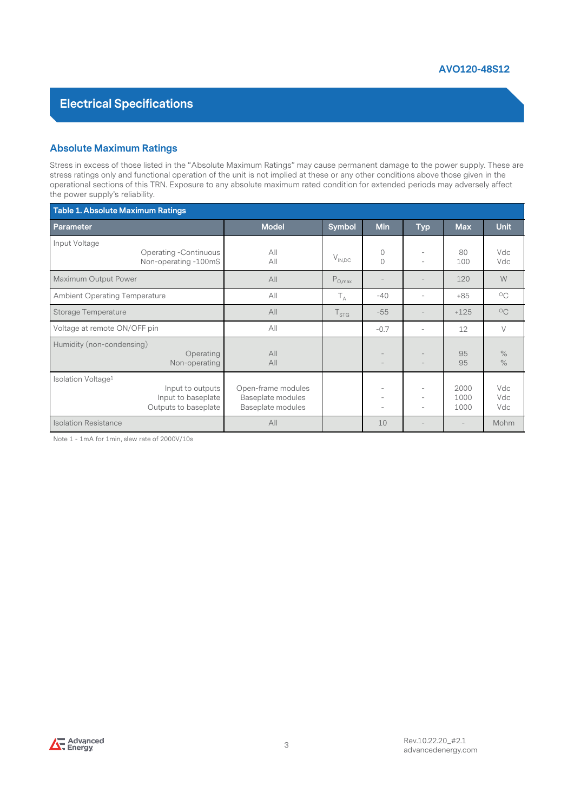#### Absolute Maximum Ratings

Stress in excess of those listed in the "Absolute Maximum Ratings" may cause permanent damage to the power supply. These are stress ratings only and functional operation of the unit is not implied at these or any other con **Stress in excess of those listed in the "Absolute Maximum Ratings" may cause permanent damage to the power supply. These are stress in excess of those listed in the "Absolute Maximum Ratings" may cause permanent damage to** operational sections of this TRN. Exposure to any absolute maximum rated condition for extended periods may adversely affect the power supply's reliability.

| <b>Absolute Maximum Ratings</b>      |                                                                                                                                                                                                                                                                                                                                                                                                   |                                                              |                                |                         |                   |                      |                   |
|--------------------------------------|---------------------------------------------------------------------------------------------------------------------------------------------------------------------------------------------------------------------------------------------------------------------------------------------------------------------------------------------------------------------------------------------------|--------------------------------------------------------------|--------------------------------|-------------------------|-------------------|----------------------|-------------------|
| the power supply's reliability.      | Stress in excess of those listed in the "Absolute Maximum Ratings" may cause permanent damage to the power supply. These are<br>stress ratings only and functional operation of the unit is not implied at these or any other conditions above those given in the<br>operational sections of this TRN. Exposure to any absolute maximum rated condition for extended periods may adversely affect |                                                              |                                |                         |                   |                      |                   |
| Table 1. Absolute Maximum Ratings    |                                                                                                                                                                                                                                                                                                                                                                                                   |                                                              |                                |                         |                   |                      |                   |
| Parameter                            |                                                                                                                                                                                                                                                                                                                                                                                                   | <b>Model</b>                                                 | Symbol                         | Min                     | <b>Typ</b>        | <b>Max</b>           | <b>Unit</b>       |
| Input Voltage                        | <b>Operating -Continuous</b><br>Non-operating -100mS                                                                                                                                                                                                                                                                                                                                              | All<br>$A$ ll                                                | $V_{IN,DC}$                    | $\mathbb O$<br>$\Omega$ | ÷,                | 80<br>100            | Vdc<br>Vdc        |
| Maximum Output Power                 |                                                                                                                                                                                                                                                                                                                                                                                                   | All                                                          | $\mathsf{P}_{\mathsf{O},\max}$ |                         | $\overline{a}$    | 120                  | W                 |
| <b>Ambient Operating Temperature</b> |                                                                                                                                                                                                                                                                                                                                                                                                   | All                                                          | $T_A$                          | $-40$                   | ÷,                | $+85$                | $^{\circ}$ C      |
| Storage Temperature                  |                                                                                                                                                                                                                                                                                                                                                                                                   | All                                                          | $T_{STG}$                      | $-55$                   | $\overline{a}$    | $+125$               | $^{\circ}$ C      |
| Voltage at remote ON/OFF pin         |                                                                                                                                                                                                                                                                                                                                                                                                   | All                                                          |                                | $-0.7$                  | $\overline{a}$    | 12                   | V                 |
| Humidity (non-condensing)            | Operating<br>Non-operating                                                                                                                                                                                                                                                                                                                                                                        | All<br>$A$ ll                                                |                                |                         |                   | 95<br>95             | $\%$<br>$\%$      |
| Isolation Voltage <sup>1</sup>       | Input to outputs<br>Input to baseplate<br>Outputs to baseplate                                                                                                                                                                                                                                                                                                                                    | Open-frame modules<br>Baseplate modules<br>Baseplate modules |                                |                         | ÷                 | 2000<br>1000<br>1000 | Vdc<br>Vdc<br>Vdc |
| <b>Isolation Resistance</b>          |                                                                                                                                                                                                                                                                                                                                                                                                   | All                                                          |                                | 10                      | $\qquad \qquad -$ |                      | Mohm              |

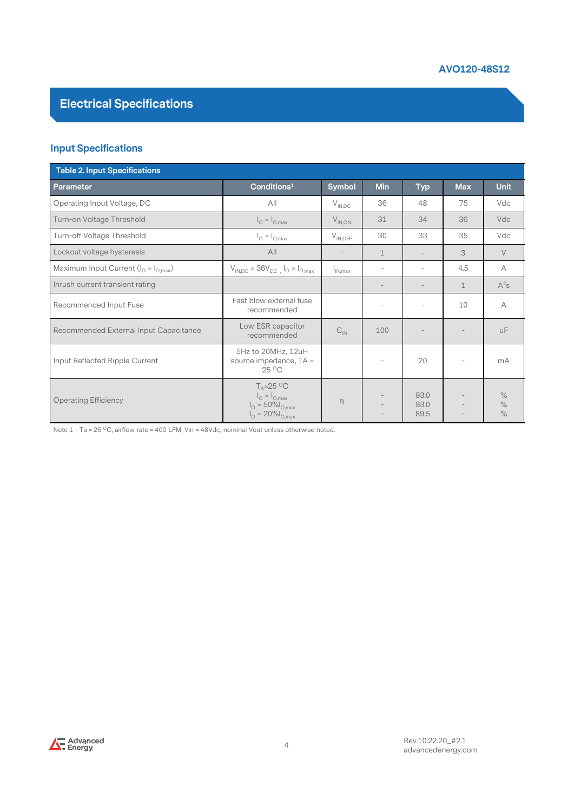#### Input Specifications

|                                             |                                                                                                                                 |                               |                          |                          | AVO120-48S12             |                      |
|---------------------------------------------|---------------------------------------------------------------------------------------------------------------------------------|-------------------------------|--------------------------|--------------------------|--------------------------|----------------------|
| <b>Electrical Specifications</b>            |                                                                                                                                 |                               |                          |                          |                          |                      |
| <b>Input Specifications</b>                 |                                                                                                                                 |                               |                          |                          |                          |                      |
| Table 2. Input Specifications               |                                                                                                                                 |                               |                          |                          |                          |                      |
| Parameter                                   | Conditions <sup>1</sup>                                                                                                         | Symbol                        | Min                      | <b>Typ</b>               | <b>Max</b>               | <b>Unit</b>          |
| Operating Input Voltage, DC                 | All                                                                                                                             | $\mathsf{V}_{\mathsf{IN,DC}}$ | 36                       | 48                       | 75                       | Vdc                  |
| Turn-on Voltage Threshold                   | $I_{\odot} = I_{\odot, max}$                                                                                                    | $V_{IN,ON}$                   | 31                       | 34                       | 36                       | Vdc                  |
| Turn-off Voltage Threshold                  | $\ensuremath{\mathsf{I}}_\ensuremath{\mathsf{O}} = \ensuremath{\mathsf{I}}_{\ensuremath{\mathsf{O}},\ensuremath{\mathsf{max}}}$ | $V_{IN,OFF}$                  | 30                       | 33                       | 35                       | Vdc                  |
| Lockout voltage hysteresis                  | All                                                                                                                             | $\overline{\phantom{a}}$      | $\mathbf 1$              | $\overline{\phantom{a}}$ | 3                        | $\vee$               |
| Maximum Input Current ( $I_0 = I_{O,max}$ ) | $V_{IN,DC} = 36V_{DC}$ , $I_{O} = I_{O,max}$                                                                                    | $I_{IN,max}$                  | $\overline{\phantom{a}}$ | $\bar{a}$                | 4.5                      | А                    |
| Inrush current transient rating             |                                                                                                                                 |                               | $\overline{\phantom{a}}$ | $\overline{\phantom{m}}$ | $\mathbf{1}$             | $A^2s$               |
| Recommended Input Fuse                      | Fast blow external fuse<br>recommended                                                                                          |                               | $\sim$                   | $\overline{\phantom{a}}$ | 10                       | А                    |
| Recommended External Input Capacitance      | Low ESR capacitor<br>recommended                                                                                                | $C_{\text{IN}}$               | 100                      |                          |                          | <b>uF</b>            |
| Input Reflected Ripple Current              | 5Hz to 20MHz, 12uH<br>source impedance, TA =<br>25 °C                                                                           |                               | $\overline{\phantom{a}}$ | 20                       | $\overline{\phantom{0}}$ | mA                   |
| <b>Operating Efficiency</b>                 | $T_A = 25 \degree C$<br>$I_{\odot} = I_{\odot, max}$<br>$I_{\Omega} = 50\%I_{O,max}$<br>$I_{\text{O}} = 20\% I_{\text{O,max}}$  | $\eta$                        |                          | 93.0<br>93.0<br>89.5     |                          | $\%$<br>$\%$<br>$\%$ |

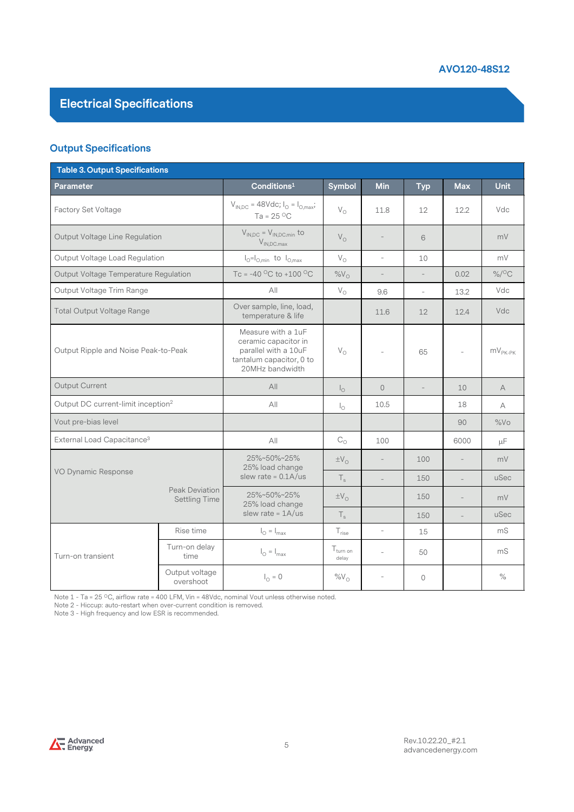#### Output Specifications

|                                                                                                                                                                                                                                   |                                 |                                                                                                                   |                             |                          |                          | AVO120-48S12             |                                |
|-----------------------------------------------------------------------------------------------------------------------------------------------------------------------------------------------------------------------------------|---------------------------------|-------------------------------------------------------------------------------------------------------------------|-----------------------------|--------------------------|--------------------------|--------------------------|--------------------------------|
| <b>Electrical Specifications</b>                                                                                                                                                                                                  |                                 |                                                                                                                   |                             |                          |                          |                          |                                |
| <b>Output Specifications</b>                                                                                                                                                                                                      |                                 |                                                                                                                   |                             |                          |                          |                          |                                |
| Table 3. Output Specifications                                                                                                                                                                                                    |                                 |                                                                                                                   |                             |                          |                          |                          |                                |
| Parameter                                                                                                                                                                                                                         |                                 | Conditions <sup>1</sup>                                                                                           | Symbol                      | Min                      | <b>Typ</b>               | <b>Max</b>               | Unit                           |
| Factory Set Voltage                                                                                                                                                                                                               |                                 | $V_{IN,DC}$ = 48Vdc; $I_{O} = I_{O,max}$ ;<br>Ta = $25^{\circ}$ C                                                 | $\mathsf{V}_\mathsf{O}$     | 11.8                     | 12                       | 12.2                     | Vdc                            |
| Output Voltage Line Regulation                                                                                                                                                                                                    |                                 | $V_{IN,DC} = V_{IN,DC,min}$ to<br>$V_{IN,DC.max}$                                                                 | $V_{\rm O}$                 |                          | 6                        |                          | mV                             |
| Output Voltage Load Regulation                                                                                                                                                                                                    |                                 | $I_{\odot} = I_{O,min}$ to $I_{O,max}$                                                                            | $\mathsf{V}_\mathsf{O}$     | L,                       | 10                       |                          | mV                             |
| Output Voltage Temperature Regulation                                                                                                                                                                                             |                                 | Tc = -40 °C to +100 °C                                                                                            | $\%V_{\odot}$               | $\overline{\phantom{a}}$ | $\overline{\phantom{a}}$ | 0.02                     | $\%$ / <sup>o</sup> C          |
| Output Voltage Trim Range                                                                                                                                                                                                         |                                 | All                                                                                                               | $\mathsf{V}_\mathsf{O}$     | 9.6                      | $\overline{\phantom{a}}$ | 13.2                     | Vdc                            |
| <b>Total Output Voltage Range</b>                                                                                                                                                                                                 |                                 | Over sample, line, load,<br>temperature & life                                                                    |                             | 11.6                     | 12                       | 12.4                     | Vdc                            |
| Output Ripple and Noise Peak-to-Peak                                                                                                                                                                                              |                                 | Measure with a 1uF<br>ceramic capacitor in<br>parallel with a 10uF<br>tantalum capacitor, 0 to<br>20MHz bandwidth | $\mathsf{V}_\mathsf{O}$     |                          | 65                       |                          | $\mathsf{mV}_{\mathsf{PK-PK}}$ |
| Output Current                                                                                                                                                                                                                    |                                 | All                                                                                                               | $I_{\circ}$                 | $\mathbb O$              | $\overline{\phantom{a}}$ | 10                       | A                              |
| Output DC current-limit inception <sup>2</sup>                                                                                                                                                                                    |                                 | $A$ ll                                                                                                            | $\mathsf{I}_\circ$          | 10.5                     |                          | 18                       | А                              |
| Vout pre-bias level                                                                                                                                                                                                               |                                 |                                                                                                                   |                             |                          |                          | 90                       | %Vo                            |
| External Load Capacitance <sup>3</sup>                                                                                                                                                                                            |                                 | $A$ ll                                                                                                            | $\mathrm{C}_\mathrm{O}$     | 100                      |                          | 6000                     | μF                             |
| VO Dynamic Response                                                                                                                                                                                                               |                                 | 25%~50%~25%<br>25% load change                                                                                    | $\pm V_{\odot}$             | $\overline{\phantom{a}}$ | 100                      | $\overline{\phantom{a}}$ | mV                             |
|                                                                                                                                                                                                                                   |                                 | slew rate = $0.1A/us$                                                                                             | $\mathsf{T}_\mathsf{s}$     |                          | 150                      |                          | uSec                           |
|                                                                                                                                                                                                                                   | Peak Deviation<br>Settling Time | 25%~50%~25%<br>25% load change                                                                                    | $\pm \mathrm{V}_\mathrm{O}$ |                          | 150                      | $\overline{\phantom{a}}$ | mV                             |
|                                                                                                                                                                                                                                   |                                 | slew rate = $1A/us$                                                                                               | $\mathsf{T}_{\mathsf{s}}$   |                          | 150                      |                          | uSec                           |
|                                                                                                                                                                                                                                   | Rise time                       | $I_{\odot} = I_{\text{max}}$                                                                                      | $T_{\text{rise}}$           | ÷,                       | 15                       |                          | mS                             |
| Turn-on transient                                                                                                                                                                                                                 | Turn-on delay<br>time           | $I_{\odot} = I_{\text{max}}$                                                                                      | $T_{turn on}$<br>delay      | $\overline{\phantom{a}}$ | 50                       |                          | mS                             |
|                                                                                                                                                                                                                                   | Output voltage<br>overshoot     | $I_{\odot} = 0$                                                                                                   | $%V_{O}$                    | ÷,                       | $\circ$                  |                          | $\%$                           |
| Note $1 - Ta = 25 °C$ , airflow rate = 400 LFM, Vin = 48Vdc, nominal Vout unless otherwise noted.<br>Note 2 - Hiccup: auto-restart when over-current condition is removed.<br>Note 3 - High frequency and low ESR is recommended. |                                 |                                                                                                                   |                             |                          |                          |                          |                                |

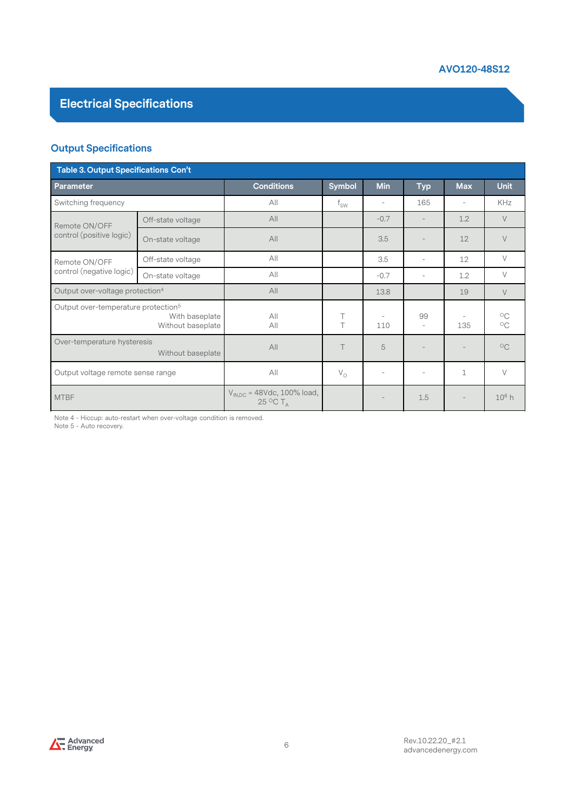#### Output Specifications

|                                                 |                                                                       |                                                |                          |        |                          | AVO120-48S12             |                                            |
|-------------------------------------------------|-----------------------------------------------------------------------|------------------------------------------------|--------------------------|--------|--------------------------|--------------------------|--------------------------------------------|
| <b>Electrical Specifications</b>                |                                                                       |                                                |                          |        |                          |                          |                                            |
| <b>Output Specifications</b>                    |                                                                       |                                                |                          |        |                          |                          |                                            |
| <b>Table 3. Output Specifications Con't</b>     |                                                                       |                                                |                          |        |                          |                          |                                            |
| Parameter                                       |                                                                       | <b>Conditions</b>                              | Symbol                   | Min    | <b>Typ</b>               | <b>Max</b>               | <b>Unit</b>                                |
| Switching frequency                             |                                                                       | All                                            | $\mathsf{f}_\mathsf{SW}$ | $\sim$ | 165                      | $\sim$                   | KHz                                        |
| Remote ON/OFF                                   | Off-state voltage                                                     | All                                            |                          | $-0.7$ | $\overline{\phantom{a}}$ | 1.2                      | V                                          |
| control (positive logic)                        | On-state voltage                                                      | All                                            |                          | 3.5    | $\overline{\phantom{a}}$ | 12                       | V                                          |
| Remote ON/OFF                                   | Off-state voltage                                                     | All                                            |                          | 3.5    | $\overline{\phantom{a}}$ | 12                       | V                                          |
| control (negative logic)                        | On-state voltage                                                      | All                                            |                          | $-0.7$ | $\overline{\phantom{a}}$ | 1.2                      | V                                          |
| Output over-voltage protection <sup>4</sup>     |                                                                       | $A$ ll                                         |                          | 13.8   |                          | 19                       | $\vee$                                     |
| Output over-temperature protection <sup>5</sup> | With baseplate<br>Without baseplate                                   | $A$ ll<br>All                                  | T<br>T                   | 110    | 99<br>$\equiv$           | $\sim$<br>135            | $\circ_{\mathsf{C}}$<br>$\circ_{\text{C}}$ |
| Over-temperature hysteresis                     | Without baseplate                                                     | A                                              | $\top$                   | 5      | $\qquad \qquad -$        |                          | $\circ$ C                                  |
| Output voltage remote sense range               |                                                                       | All                                            | $V_{\rm O}$              | $\sim$ | $\overline{\phantom{a}}$ | $\mathbf{1}$             | V                                          |
| <b>MTBF</b>                                     |                                                                       | $V_{IN,DC}$ = 48Vdc, 100% load,<br>25 °C $T_A$ |                          |        | $1.5\,$                  | $\overline{\phantom{a}}$ | $10^6$ h                                   |
| Note 5 - Auto recovery.                         | Note 4 - Hiccup: auto-restart when over-voltage condition is removed. |                                                |                          |        |                          |                          |                                            |

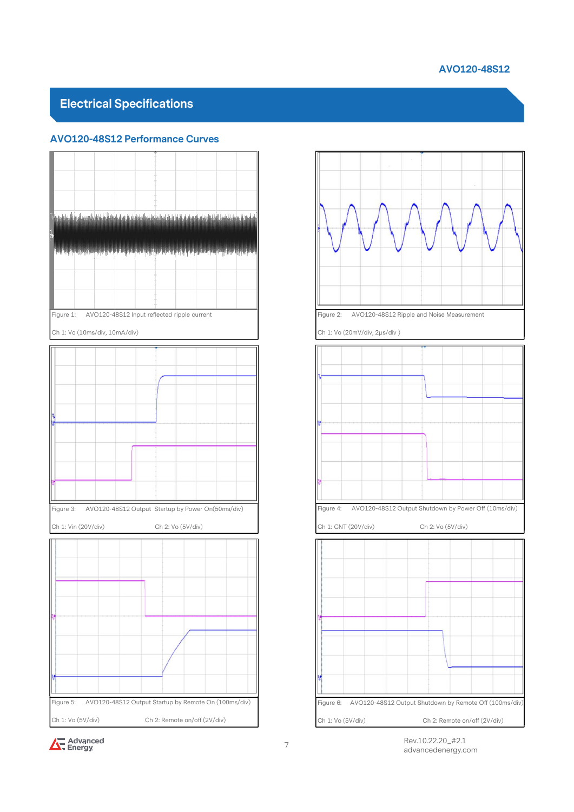#### AVO120-48S12

#### Electrical Specifications







<sup>7</sup> Rev.10.22.20\_#2.1 advancedenergy.com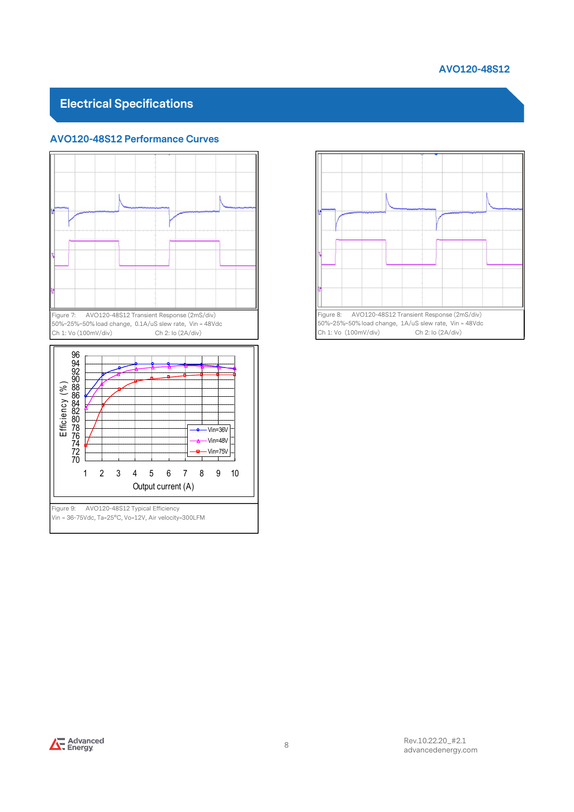#### AVO120-48S12

#### Electrical Specifications



Vin = 36-75Vdc, Ta=25°C, Vo=12V, Air velocity=300LFM



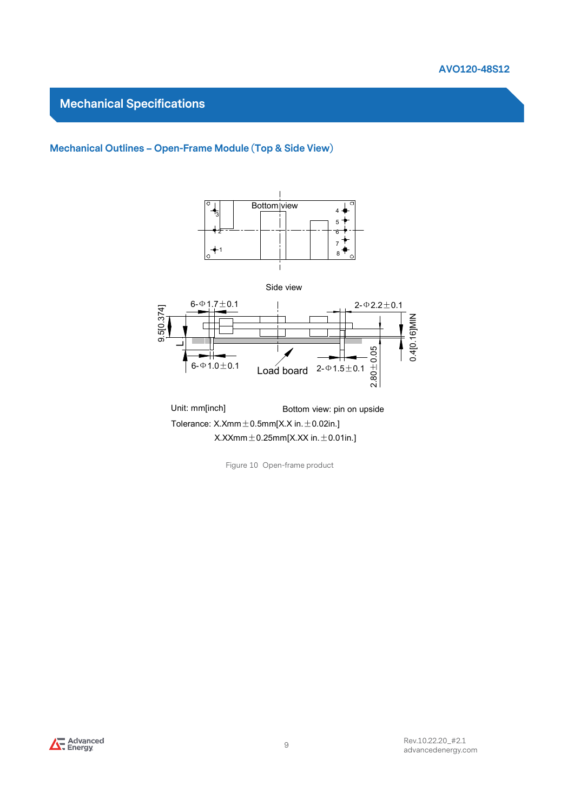

#### Mechanical Specifications

# Mechanical Specifications<br>Mechanical Outlines – Open-Frame Module (Top & Side View)



 $X.XXmm \pm 0.25mm[X.XX in. \pm 0.01in.]$ 

Figure 10 Open-frame product

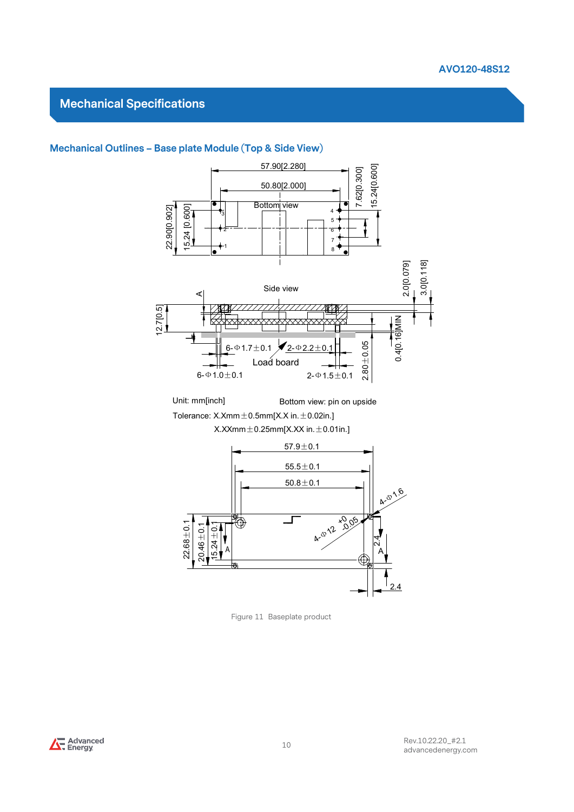#### Mechanical Specifications



Unit: mm[inch] Bottom view: pin on upside Tolerance:  $X.Xmm \pm 0.5mm[X.X in. \pm 0.02in.]$ 

 $X.XXmm \pm 0.25mm[X.XX in. \pm 0.01in.]$ 



Figure 11 Baseplate product

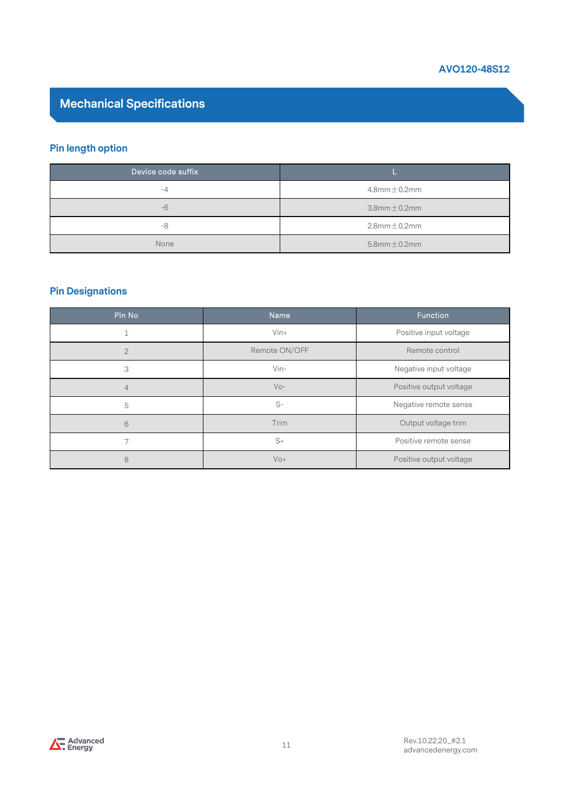

# Mechanical Specifications

#### Pin length option

|                                  | AVO120-48S12         |
|----------------------------------|----------------------|
| <b>Mechanical Specifications</b> |                      |
| <b>Pin length option</b>         |                      |
| Device code suffix               |                      |
| $-4$                             | $4.8$ mm $\pm$ 0.2mm |
| $-6$                             | $3.8$ mm $\pm$ 0.2mm |
| $-8$                             | $2.8$ mm $\pm$ 0.2mm |
| None                             | $5.8$ mm $\pm$ 0.2mm |

#### Pin Designations

| $-6$                    |                |               | $3.8$ mm $\pm$ 0.2mm    |
|-------------------------|----------------|---------------|-------------------------|
| $\mbox{--}8$            |                |               | $2.8$ mm $\pm$ 0.2mm    |
| None                    |                |               | $5.8$ mm $\pm$ 0.2mm    |
|                         |                |               |                         |
|                         |                |               |                         |
| <b>Pin Designations</b> |                |               |                         |
| Pin No                  | Name           |               | Function                |
| $\mathbf 1$             | Vin+           |               | Positive input voltage  |
| $\sqrt{2}$              |                | Remote ON/OFF | Remote control          |
| 3                       | Vin-           |               | Negative input voltage  |
| $\overline{4}$          | $VO-$          |               | Positive output voltage |
| 5                       | $\mathbb{S}^-$ |               | Negative remote sense   |
| $\,6\,$                 | Trim           |               | Output voltage trim     |
| 7                       | $S+$           |               | Positive remote sense   |
|                         | $VO+$          |               | Positive output voltage |

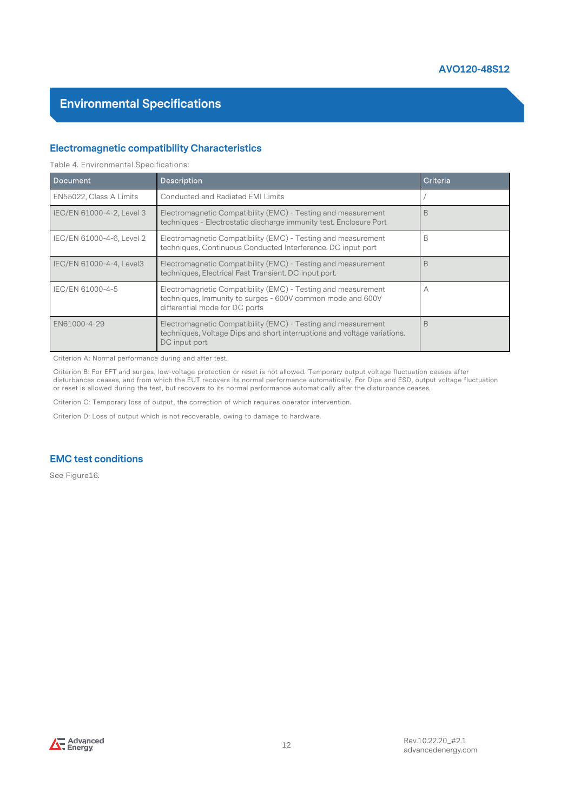#### Electromagnetic compatibility Characteristics

|                                                        |                                                                                                                                                               | AVU120-46512 |
|--------------------------------------------------------|---------------------------------------------------------------------------------------------------------------------------------------------------------------|--------------|
| <b>Environmental Specifications</b>                    |                                                                                                                                                               |              |
|                                                        | <b>Electromagnetic compatibility Characteristics</b>                                                                                                          |              |
| Table 4. Environmental Specifications:                 |                                                                                                                                                               |              |
| <b>Document</b>                                        | <b>Description</b>                                                                                                                                            | Criteria     |
| EN55022, Class A Limits                                | Conducted and Radiated EMI Limits                                                                                                                             |              |
| IEC/EN 61000-4-2, Level 3                              | Electromagnetic Compatibility (EMC) - Testing and measurement<br>techniques - Electrostatic discharge immunity test. Enclosure Port                           | B            |
| IEC/EN 61000-4-6, Level 2                              | Electromagnetic Compatibility (EMC) - Testing and measurement<br>techniques, Continuous Conducted Interference. DC input port                                 | B            |
| IEC/EN 61000-4-4, Level3                               | Electromagnetic Compatibility (EMC) - Testing and measurement<br>techniques, Electrical Fast Transient. DC input port.                                        | B            |
| IEC/EN 61000-4-5                                       | Electromagnetic Compatibility (EMC) - Testing and measurement<br>techniques, Immunity to surges - 600V common mode and 600V<br>differential mode for DC ports | А            |
| EN61000-4-29                                           | Electromagnetic Compatibility (EMC) - Testing and measurement<br>techniques, Voltage Dips and short interruptions and voltage variations.<br>DC input port    | B            |
| Criterion A: Normal performance during and after test. |                                                                                                                                                               |              |

Criterion B: For EFT and surges, low-voltage protection or reset is not allowed. Temporary output voltage fluctuation ceases after disturbances ceases, and from which the EUT recovers its normal performance automatically. For Dips and ESD, output voltage fluctuation or reset is allowed during the test, but recovers to its normal performance automatically after the disturbance ceases.

Criterion C: Temporary loss of output, the correction of which requires operator intervention.

Criterion D: Loss of output which is not recoverable, owing to damage to hardware.

#### EMC test conditions

See Figure16.

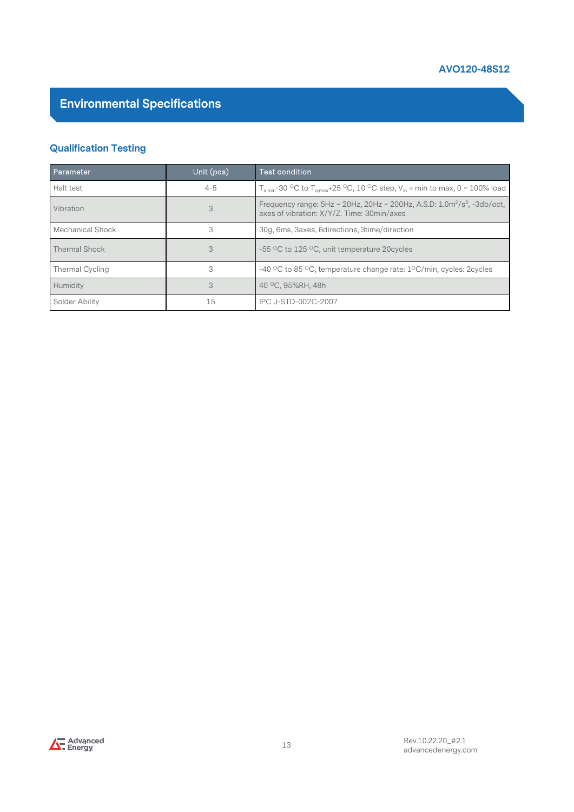#### Qualification Testing

| <b>Environmental Specifications</b> |            | AVO120-48S12                                                                                                                                  |
|-------------------------------------|------------|-----------------------------------------------------------------------------------------------------------------------------------------------|
|                                     |            |                                                                                                                                               |
| <b>Qualification Testing</b>        |            |                                                                                                                                               |
| Parameter                           | Unit (pcs) | <b>Test condition</b>                                                                                                                         |
| Halt test                           | $4 - 5$    | $T_{\text{a,min}}$ -30 °C to $T_{\text{a,max}}$ +25 °C, 10 °C step, V <sub>in</sub> = min to max, 0 ~ 100% load                               |
| Vibration                           | 3          | Frequency range: 5Hz ~ 20Hz, 20Hz ~ 200Hz, A.S.D: 1.0m <sup>2</sup> /s <sup>3</sup> , -3db/oct,<br>axes of vibration: X/Y/Z. Time: 30min/axes |
| Mechanical Shock                    | 3          | 30g, 6ms, 3axes, 6directions, 3time/direction                                                                                                 |
| <b>Thermal Shock</b>                | 3          | -55 °C to 125 °C, unit temperature 20 cycles                                                                                                  |
| Thermal Cycling                     | 3          | -40 °C to 85 °C, temperature change rate: 1°C/min, cycles: 2cycles                                                                            |
| Humidity                            | 3          | 40 °C, 95%RH, 48h                                                                                                                             |
| Solder Ability                      | 15         | IPC J-STD-002C-2007                                                                                                                           |

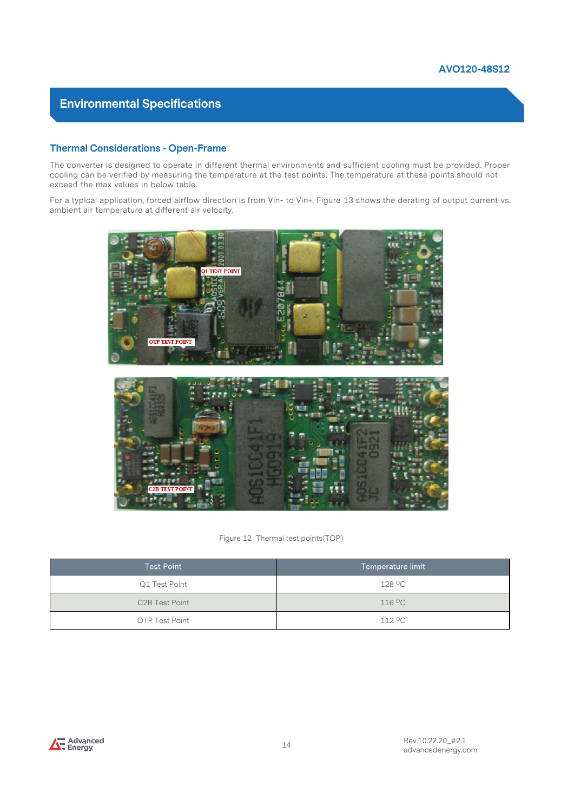**Environmental Specifications<br>Thermal Considerations - Open-Frame**<br>The converter is designed to operate in different thermal environments<br>cooling can be verified by measuring the temperature at the test point<br>exceed the ma The converter is designed to operate in different thermal environments and sufficient cooling must be provided. Proper cooling can be verified by measuring the temperature at the test points. The temperature at these points should not exceed the max values in below table. Formal Considerations - Open-Frame<br>The converter is designed to operate in different thermal environments and sufficient cooling must be provided. Proper<br>cooling can be verified by measuring the temperature at the test poi

ambient air temperature at different air velocity.





| <b>C2B TEST POINT</b> |                                    |
|-----------------------|------------------------------------|
|                       |                                    |
|                       | Figure 12 Thermal test points(TOP) |
| <b>Test Point</b>     | Temperature limit                  |
|                       |                                    |
| Q1 Test Point         | 128 °C                             |
| C2B Test Point        | 116 °C                             |

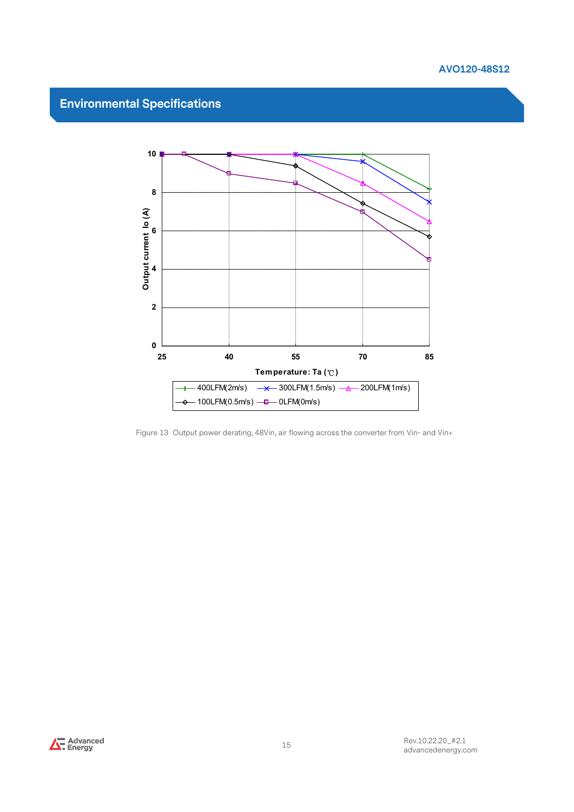

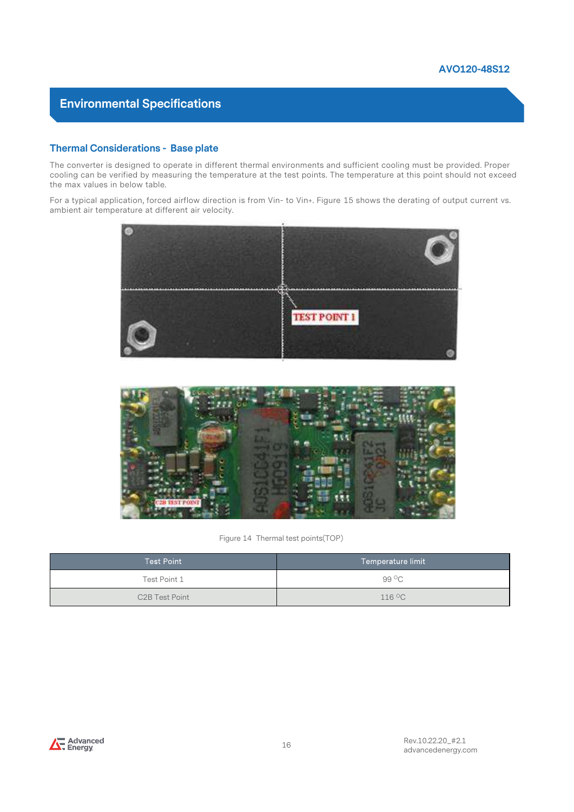**Environmental Specifications<br>Thermal Considerations - Base plate**<br>The converter is designed to operate in different thermal environments<br>cooling can be verified by measuring the temperature at the test points<br>the max valu The converter is designed to operate in different thermal environments and sufficient cooling must be provided. Proper cooling can be verified by measuring the temperature at the test points. The temperature at this point should not exceed the max values in below table. Formal Considerations - Base plate<br>The converter is designed to operate in different thermal environments and sufficient cooling must be provided. Proper<br>cooling can be verified by measuring the temperature at the test poi

ambient air temperature at different air velocity.





| <b>ST POIN</b>    | Figure 14 Thermal test points(TOP) |
|-------------------|------------------------------------|
| <b>Test Point</b> | Temperature limit                  |
| Test Point 1      | 99 °C                              |
| C2B Test Point    | $116\,{}^\circ\mathrm{C}$          |

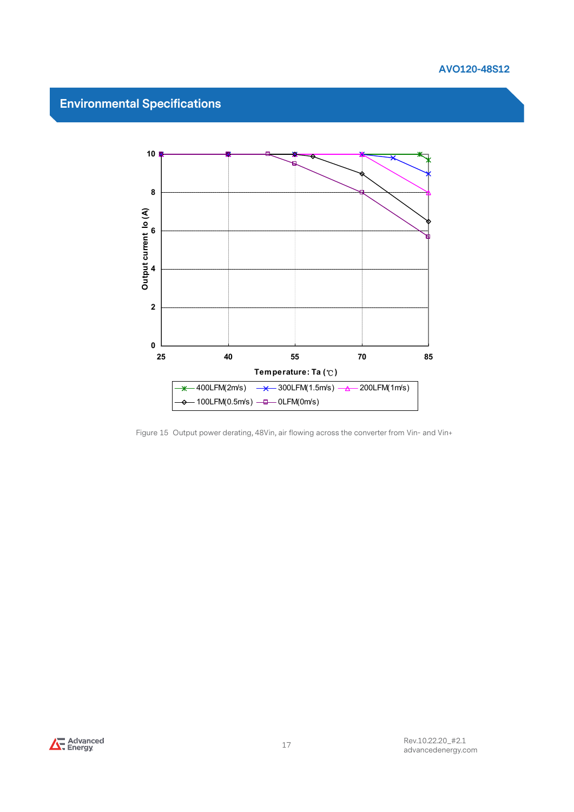



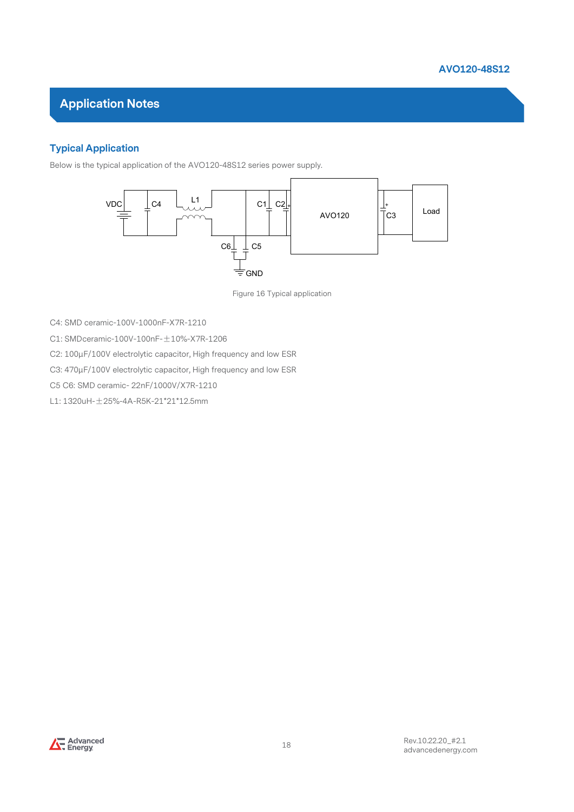

#### Typical Application

Below is the typical application of the AVO120-48S12 series power supply.



Figure 16 Typical application

C4: SMD ceramic-100V-1000nF-X7R-1210

C1: SMDceramic-100V-100nF-±10%-X7R-1206

C2: 100μF/100V electrolytic capacitor, High frequency and low ESR Figure 16 Typical ar<br>C4: SMD ceramic-100V-1000nF-X7R-1210<br>C1: SMDceramic-100V-100nF-±10%-X7R-1206<br>C2: 100µF/100V electrolytic capacitor, High frequency and low ESR<br>C3: 470µF/100V electrolytic capacitor, High frequency and

C3: 470μF/100V electrolytic capacitor, High frequency and low ESR

L1: 1320uH-±25%-4A-R5K-21\*21\*12.5mm

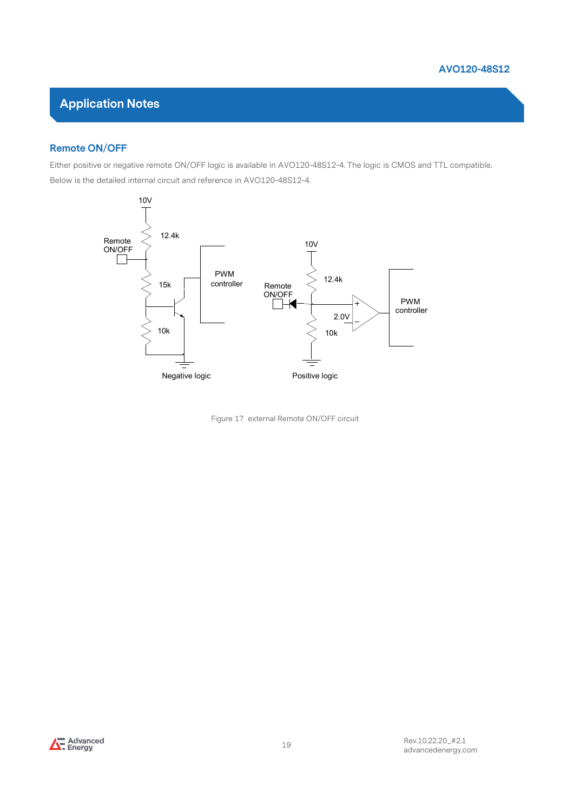#### Remote ON/OFF

Either positive or negative remote ON/OFF logic is available in AVO120-48S12-4. The logic is CMOS and TTL compatible. Below is the detailed internal circuit and reference in AVO120-48S12-4.



Figure 17 external Remote ON/OFF circuit

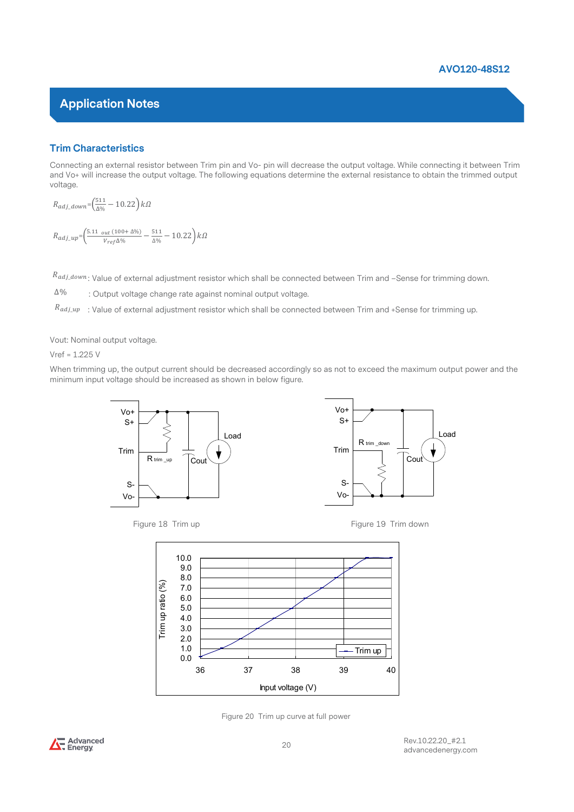#### Trim Characteristics

**AVO120-48S12**<br> **Connecting an external resistor between Trim pin and Vo- pin will decrease the output voltage. While connecting it between Trim and Vo- will increase the output voltage. The following equations determine** and Vo+ will increase the output voltage. The following equations determine the external resistance to obtain the trimmed output voltage. **acteristics**<br>
an external resistor between Trim pin and Vo- pin will decrease the output voltage. While continenase the output voltage. The following equations determine the external resistance to obtain  $\frac{511}{200} - 10$  $\sim$  4  $\sim$  400120-4<br>  $\sim$  400120-4<br>  $\sim$  400120-4<br>  $\sim$  400120-4<br>  $\sim$  400120-4<br>  $\sim$  400120-4<br>  $\sim$  400120-4<br>  $\sim$  400120-4<br>  $\sim$  400120-4<br>  $\sim$  400120-4<br>  $\sim$  400120-4<br>  $\sim$  400120-4<br>  $\sim$  400120-4<br>  $\sim$  400120-4<br>  $\sim$ 

$$
R_{adj\_down} = \left(\frac{511}{\Delta\%} - 10.22\right) k\Omega
$$
  

$$
R_{adj\_up} = \left(\frac{5.11_{out} (100 + \Delta\%)}{V_{ref} \Delta\%} - \frac{511}{\Delta\%} - 10.22\right) k\Omega
$$

 $^{R}$ adj\_down: Value of external adjustment resistor which shall be connected between Trim and –Sense for trimming down.

: Output voltage change rate against nominal output voltage. ∆%

 $R_{adj\_up}$   $\;$  : Value of external adjustment resistor which shall be connected between Trim and +Sense for trimming up.

Vout: Nominal output voltage.

 $R_{adj\_down}$ : Value of external adjustment resiste<br>  $\Delta\%$  : Output voltage change rate against<br>  $R_{adj\_up}$  : Value of external adjustment resiste<br>
Vout: Nominal output voltage.<br>
Vref = 1.225 V<br>
When trimming up, the output cur When trimming up, the output current should be decreased accordingly so as not to exceed the maximum output power and the minimum input voltage should be increased as shown in below figure.





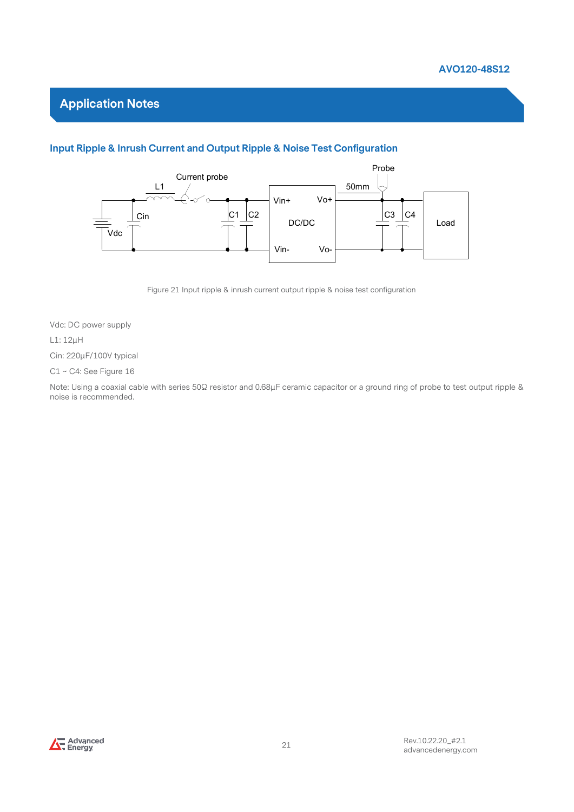

#### Input Ripple & Inrush Current and Output Ripple & Noise Test Configuration



Figure 21 Input ripple & inrush current output ripple & noise test configuration

Vdc: DC power supply

#### L1: 12μH

Cin: 220μF/100V typical

C1 ~ C4: See Figure 16

Note: Using a coaxial cable with series 50Ω resistor and 0.68μF ceramic capacitor or a ground ring of probe to test output ripple & noise is recommended.

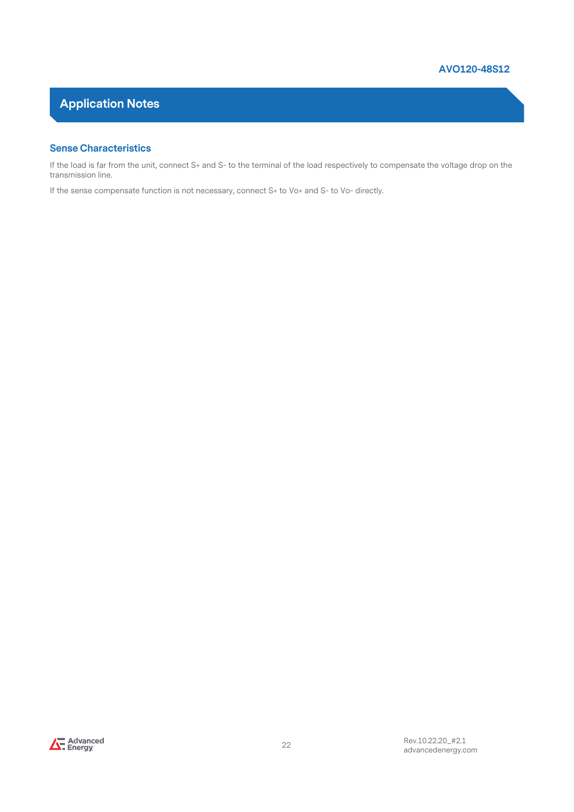#### Sense Characteristics

**Application Notes**<br> **If the load is far from the unit, connect S+ and S- to the terminal of the load respectively to compensate the voltage drop on the transmission line.<br>
If the sense compensate function is not necessary** transmission line. **If the load is far from the unit, connect S+ and S- to the terminal of the load respectively to compensate the voltage drop on the terms in line.**<br>If the sense compensate function is not necessary, connect S+ to Vo+ and S

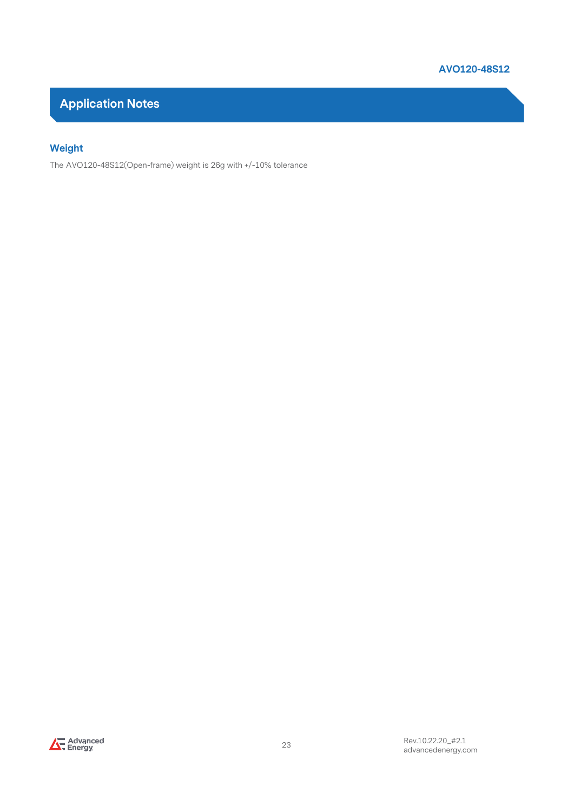

#### Weight

The AVO120-48S12(Open-frame) weight is 26g with +/-10% tolerance

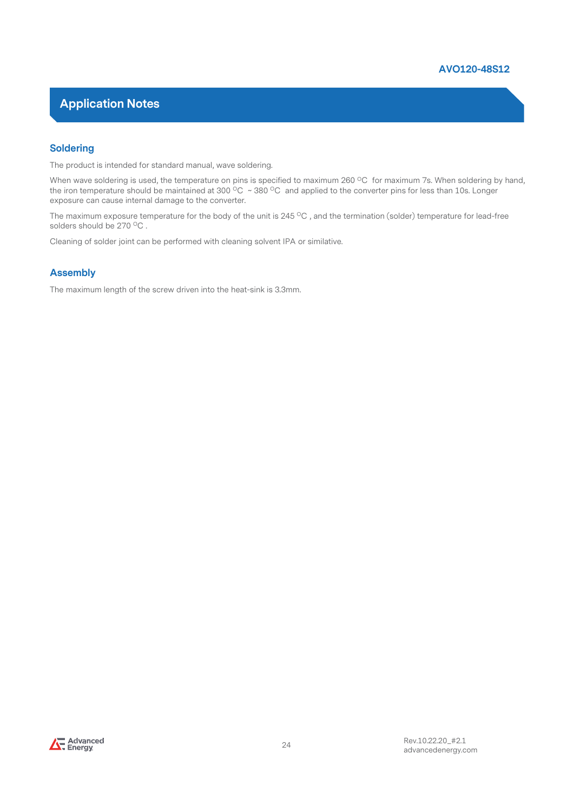

#### Soldering

The product is intended for standard manual, wave soldering.

When wave soldering is used, the temperature on pins is specified to maximum 260 °C for maximum 7s. When soldering by hand, the iron temperature should be maintained at 300  $^{\circ}$ C ~ 380  $^{\circ}$ C and applied to the converter pins for less than 10s. Longer exposure can cause internal damage to the converter.

The maximum exposure temperature for the body of the unit is  $245\,^{\circ}\text{C}$ , and the termination (solder) temperature for lead-free solders should be 270 °C.

Cleaning of solder joint can be performed with cleaning solvent IPA or similative.

#### Assembly

The maximum length of the screw driven into the heat-sink is 3.3mm.

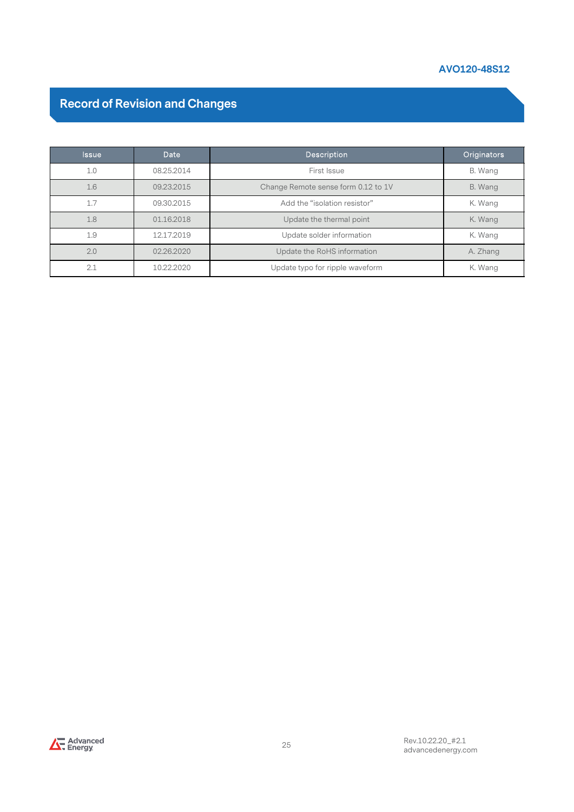#### AVO120-48S12

# Record of Revision and Changes

|                                       |            | AVO120-48S12                        |             |
|---------------------------------------|------------|-------------------------------------|-------------|
| <b>Record of Revision and Changes</b> |            |                                     |             |
| <b>Issue</b>                          | Date       | Description                         | Originators |
| 1.0                                   | 08.25.2014 | First Issue                         | B. Wang     |
| 1.6                                   | 09.23.2015 | Change Remote sense form 0.12 to 1V | B. Wang     |
| 1.7                                   | 09.30.2015 | Add the "isolation resistor"        | K. Wang     |
| 1.8                                   | 01.16.2018 | Update the thermal point            | K. Wang     |
| 1.9                                   | 12.17.2019 | Update solder information           | K. Wang     |
|                                       | 02.26.2020 | Update the RoHS information         | A. Zhang    |
| 2.0                                   |            | Update typo for ripple waveform     | K. Wang     |